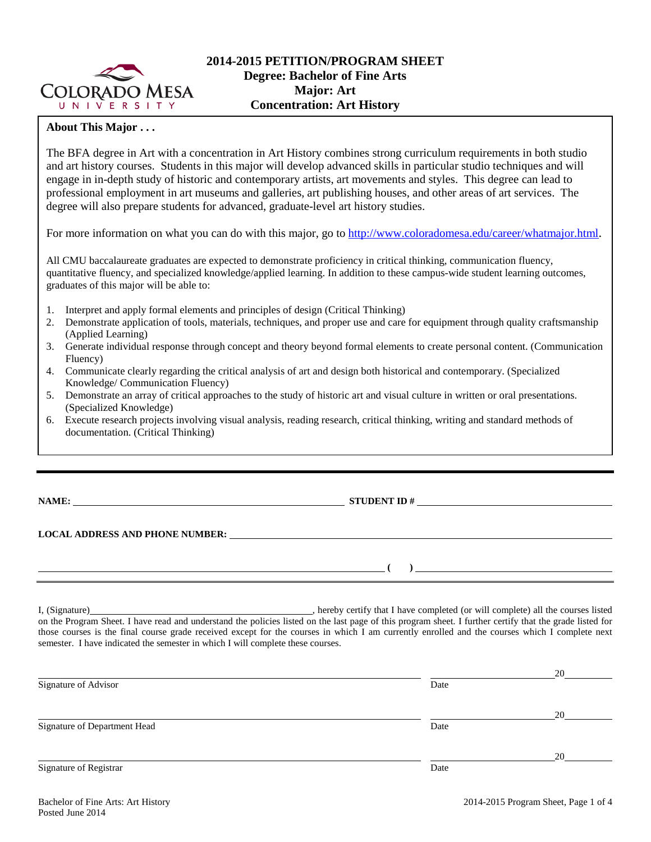

# **2014-2015 PETITION/PROGRAM SHEET Degree: Bachelor of Fine Arts Major: Art Concentration: Art History**

## **About This Major . . .**

The BFA degree in Art with a concentration in Art History combines strong curriculum requirements in both studio and art history courses. Students in this major will develop advanced skills in particular studio techniques and will engage in in-depth study of historic and contemporary artists, art movements and styles. This degree can lead to professional employment in art museums and galleries, art publishing houses, and other areas of art services. The degree will also prepare students for advanced, graduate-level art history studies.

For more information on what you can do with this major, go t[o http://www.coloradomesa.edu/career/whatmajor.html.](http://www.coloradomesa.edu/career/whatmajor.html)

All CMU baccalaureate graduates are expected to demonstrate proficiency in critical thinking, communication fluency, quantitative fluency, and specialized knowledge/applied learning. In addition to these campus-wide student learning outcomes, graduates of this major will be able to:

- 1. Interpret and apply formal elements and principles of design (Critical Thinking)
- 2. Demonstrate application of tools, materials, techniques, and proper use and care for equipment through quality craftsmanship (Applied Learning)
- 3. Generate individual response through concept and theory beyond formal elements to create personal content. (Communication Fluency)
- 4. Communicate clearly regarding the critical analysis of art and design both historical and contemporary. (Specialized Knowledge/ Communication Fluency)
- 5. Demonstrate an array of critical approaches to the study of historic art and visual culture in written or oral presentations. (Specialized Knowledge)
- 6. Execute research projects involving visual analysis, reading research, critical thinking, writing and standard methods of documentation. (Critical Thinking)

**NAME: STUDENT ID #** 

### **LOCAL ADDRESS AND PHONE NUMBER:**

I, (Signature) , hereby certify that I have completed (or will complete) all the courses listed on the Program Sheet. I have read and understand the policies listed on the last page of this program sheet. I further certify that the grade listed for those courses is the final course grade received except for the courses in which I am currently enrolled and the courses which I complete next semester. I have indicated the semester in which I will complete these courses.

|                              |      | 20 |
|------------------------------|------|----|
| Signature of Advisor         | Date |    |
|                              |      | 20 |
| Signature of Department Head | Date |    |
|                              |      | 20 |
| Signature of Registrar       | Date |    |

**( )**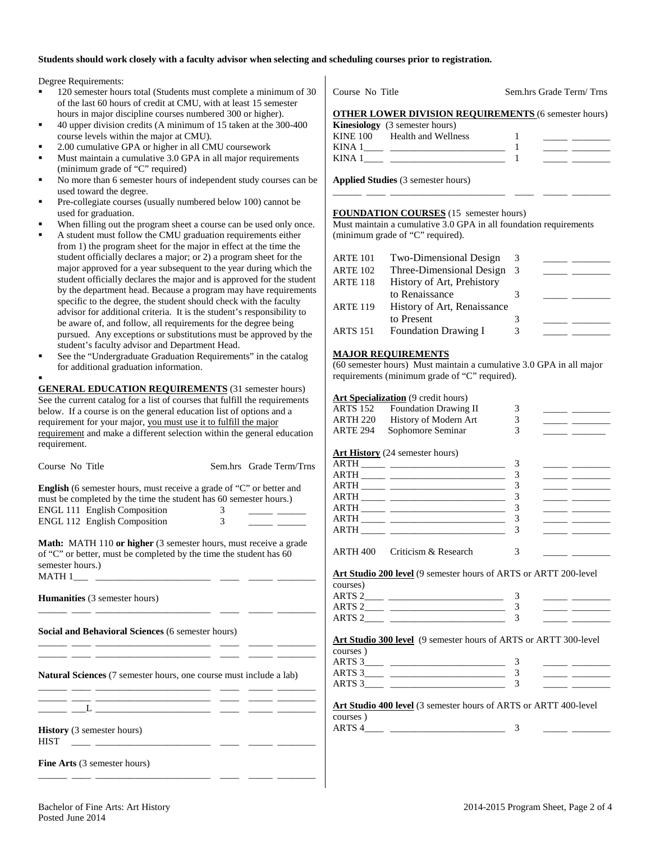#### **Students should work closely with a faculty advisor when selecting and scheduling courses prior to registration.**

Degree Requirements:

- 120 semester hours total (Students must complete a minimum of 30 of the last 60 hours of credit at CMU, with at least 15 semester hours in major discipline courses numbered 300 or higher).
- 40 upper division credits (A minimum of 15 taken at the 300-400 course levels within the major at CMU).
- 2.00 cumulative GPA or higher in all CMU coursework
- Must maintain a cumulative 3.0 GPA in all major requirements (minimum grade of "C" required)
- No more than 6 semester hours of independent study courses can be used toward the degree.
- Pre-collegiate courses (usually numbered below 100) cannot be used for graduation.
- When filling out the program sheet a course can be used only once.
- A student must follow the CMU graduation requirements either from 1) the program sheet for the major in effect at the time the student officially declares a major; or 2) a program sheet for the major approved for a year subsequent to the year during which the student officially declares the major and is approved for the student by the department head. Because a program may have requirements specific to the degree, the student should check with the faculty advisor for additional criteria. It is the student's responsibility to be aware of, and follow, all requirements for the degree being pursued. Any exceptions or substitutions must be approved by the student's faculty advisor and Department Head.
- See the "Undergraduate Graduation Requirements" in the catalog for additional graduation information.

.

**GENERAL EDUCATION REQUIREMENTS** (31 semester hours) See the current catalog for a list of courses that fulfill the requirements below. If a course is on the general education list of options and a requirement for your major, you must use it to fulfill the major requirement and make a different selection within the general education requirement.

| Course No Title                                                                                                                                                   |             | Sem.hrs Grade Term/Trns |                                                      |  |
|-------------------------------------------------------------------------------------------------------------------------------------------------------------------|-------------|-------------------------|------------------------------------------------------|--|
| <b>English</b> (6 semester hours, must receive a grade of "C" or better and<br>must be completed by the time the student has 60 semester hours.)                  |             |                         | <b>ARTH</b> ________<br>$ARTH$ <sub>____</sub> _____ |  |
| <b>ENGL 111 English Composition</b>                                                                                                                               | $3^{\circ}$ |                         |                                                      |  |
| ENGL 112 English Composition 3                                                                                                                                    |             |                         | $ARTH$ <sub>____</sub> ____<br>ARTH                  |  |
| <b>Math:</b> MATH 110 or higher (3 semester hours, must receive a grade<br>of "C" or better, must be completed by the time the student has 60<br>semester hours.) |             |                         | ARTH 400 Critici                                     |  |
|                                                                                                                                                                   |             |                         | Art Studio 200 level                                 |  |
|                                                                                                                                                                   |             |                         | courses)                                             |  |
| Humanities (3 semester hours)                                                                                                                                     |             |                         | ARTS 2_____ _____                                    |  |
|                                                                                                                                                                   |             |                         | ARTS 2________                                       |  |
|                                                                                                                                                                   |             |                         |                                                      |  |
| Social and Behavioral Sciences (6 semester hours)                                                                                                                 |             |                         |                                                      |  |
| the control of the control of the control of the                                                                                                                  |             |                         | <b>Art Studio 300 level</b>                          |  |
| <u> 1980 - Jan Samuel Barbara, martin al-Amerikaan parlamentari (h. 1980).</u>                                                                                    |             |                         | courses)                                             |  |
|                                                                                                                                                                   |             |                         | ARTS 3_____ ____                                     |  |
| <b>Natural Sciences</b> (7 semester hours, one course must include a lab)                                                                                         |             |                         | ARTS 3                                               |  |
| <u> 1989 - Jan Sterling von Berling von Berling von Berling von Berling von Berling von Berling von Berling von B</u>                                             |             |                         |                                                      |  |
| <u> 1999 - 1999 - Andrea Andrews, Amerikaansk ferske kommunist (d. 1989)</u>                                                                                      |             |                         | Art Studio 400 level                                 |  |
|                                                                                                                                                                   |             |                         | courses)                                             |  |
| <b>History</b> (3 semester hours)<br><b>HIST</b><br><u> 1966 - Andrea Maria (h. 1986).</u><br>1966 - Andrea Santo, amerikano estatubatuar estatubatuar (h. 1906). |             |                         | ARTS $4$ <sub>____</sub> ______                      |  |
| <b>Fine Arts</b> (3 semester hours)                                                                                                                               |             |                         |                                                      |  |
|                                                                                                                                                                   |             |                         |                                                      |  |

| Course No Title                       |                                                             | Sem.hrs Grade Term/Trns |
|---------------------------------------|-------------------------------------------------------------|-------------------------|
|                                       | <b>OTHER LOWER DIVISION REQUIREMENTS (6 semester hours)</b> |                         |
| <b>Kinesiology</b> (3 semester hours) |                                                             |                         |
| KINE 100 Health and Wellness          |                                                             |                         |
|                                       |                                                             |                         |
|                                       |                                                             |                         |

\_\_\_\_\_\_ \_\_\_\_ \_\_\_\_\_\_\_\_\_\_\_\_\_\_\_\_\_\_\_\_\_\_\_\_ \_\_\_\_ \_\_\_\_\_ \_\_\_\_\_\_\_\_

**Applied Studies** (3 semester hours)

## **FOUNDATION COURSES** (15 semester hours)

Must maintain a cumulative 3.0 GPA in all foundation requirements (minimum grade of "C" required).

| <b>ARTE 101</b> | Two-Dimensional Design      | 3  |  |
|-----------------|-----------------------------|----|--|
| <b>ARTE 102</b> | Three-Dimensional Design    | -3 |  |
| <b>ARTE 118</b> | History of Art, Prehistory  |    |  |
|                 | to Renaissance              |    |  |
| <b>ARTE 119</b> | History of Art, Renaissance |    |  |
|                 | to Present                  |    |  |
| <b>ARTS 151</b> | <b>Foundation Drawing I</b> | 3  |  |

#### **MAJOR REQUIREMENTS**

(60 semester hours) Must maintain a cumulative 3.0 GPA in all major requirements (minimum grade of "C" required).

|                 | <b>Art Specialization</b> (9 credit hours)                       |               |                                                                                                                                                                                                                                      |
|-----------------|------------------------------------------------------------------|---------------|--------------------------------------------------------------------------------------------------------------------------------------------------------------------------------------------------------------------------------------|
| <b>ARTS 152</b> | <b>Foundation Drawing II</b>                                     | 3             | <u> 1989 - Alexandria Statistan e</u>                                                                                                                                                                                                |
| ARTH 220        | History of Modern Art                                            | 3             |                                                                                                                                                                                                                                      |
| <b>ARTE 294</b> | Sophomore Seminar                                                | $\mathcal{R}$ | <u> The Common School and The Common School and The Common School and The Common School and The Common School and The Common School and The Common School and The Common School and The Common School and The Common School and </u> |
|                 |                                                                  |               |                                                                                                                                                                                                                                      |
|                 | <b>Art History</b> (24 semester hours)                           |               |                                                                                                                                                                                                                                      |
|                 |                                                                  | 3             | <u> The Common School and School and School and School and School and School and School and School and School and School and School and School and School and School and School and School and School and School and School and </u> |
|                 |                                                                  | 3             |                                                                                                                                                                                                                                      |
|                 |                                                                  | 3             | <u> 1989 - Johann John Stone, mars and de la partie de la partie de la partie de la partie de la partie de la par</u>                                                                                                                |
|                 |                                                                  | 3             |                                                                                                                                                                                                                                      |
|                 |                                                                  | 3             | <u> 1989 - Andrea Station Books, amerikansk politiker (</u>                                                                                                                                                                          |
|                 |                                                                  | 3             |                                                                                                                                                                                                                                      |
|                 |                                                                  | 3             |                                                                                                                                                                                                                                      |
|                 |                                                                  |               |                                                                                                                                                                                                                                      |
|                 | ARTH 400 Criticism & Research                                    | 3             | <u> 1989 - Johann Barnett, mars a</u>                                                                                                                                                                                                |
|                 |                                                                  |               |                                                                                                                                                                                                                                      |
|                 | Art Studio 200 level (9 semester hours of ARTS or ARTT 200-level |               |                                                                                                                                                                                                                                      |
| courses)        |                                                                  |               |                                                                                                                                                                                                                                      |
|                 |                                                                  | 3             |                                                                                                                                                                                                                                      |
|                 |                                                                  | 3             |                                                                                                                                                                                                                                      |
|                 |                                                                  | 3             | the company of the company of the company                                                                                                                                                                                            |
|                 |                                                                  |               |                                                                                                                                                                                                                                      |
|                 | Art Studio 300 level (9 semester hours of ARTS or ARTT 300-level |               |                                                                                                                                                                                                                                      |
| courses)        |                                                                  |               |                                                                                                                                                                                                                                      |
|                 |                                                                  | 3             | <u> 1999 - Johann John Stone, mars and de la partie de la partie de la partie de la partie de la partie de la pa</u>                                                                                                                 |
|                 |                                                                  | 3             | <u> 1989 - Alexandr Alexandr III et al.</u>                                                                                                                                                                                          |
|                 |                                                                  | $\mathcal{R}$ |                                                                                                                                                                                                                                      |
|                 |                                                                  |               |                                                                                                                                                                                                                                      |
|                 | Art Studio 400 level (3 semester hours of ARTS or ARTT 400-level |               |                                                                                                                                                                                                                                      |
| courses)        |                                                                  |               |                                                                                                                                                                                                                                      |
|                 |                                                                  | 3             |                                                                                                                                                                                                                                      |
|                 |                                                                  |               |                                                                                                                                                                                                                                      |
|                 |                                                                  |               |                                                                                                                                                                                                                                      |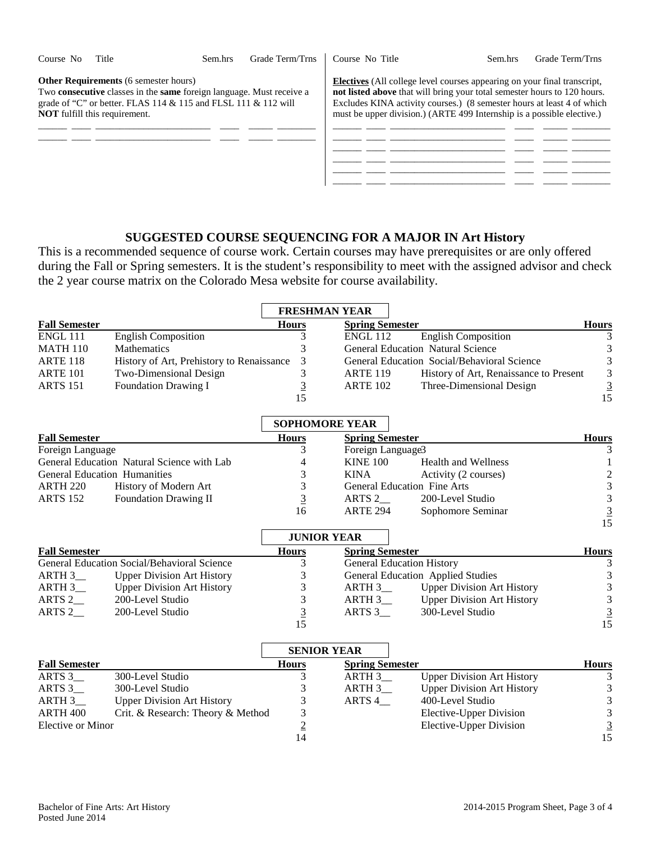| Course No | Title                                                                                | Sem.hrs                                                                                                                                      | Grade Term/Trns | Course No Title                                                                                                                                                                                                                                                                                                 | Sem.hrs | Grade Term/Trns |
|-----------|--------------------------------------------------------------------------------------|----------------------------------------------------------------------------------------------------------------------------------------------|-----------------|-----------------------------------------------------------------------------------------------------------------------------------------------------------------------------------------------------------------------------------------------------------------------------------------------------------------|---------|-----------------|
|           | <b>Other Requirements</b> (6 semester hours)<br><b>NOT</b> fulfill this requirement. | Two consecutive classes in the same foreign language. Must receive a<br>grade of "C" or better. FLAS $114 \& 115$ and FLSL $111 \& 112$ will |                 | <b>Electives</b> (All college level courses appearing on your final transcript,<br>not listed above that will bring your total semester hours to 120 hours.<br>Excludes KINA activity courses.) (8 semester hours at least 4 of which<br>must be upper division.) (ARTE 499 Internship is a possible elective.) |         |                 |
|           |                                                                                      |                                                                                                                                              |                 |                                                                                                                                                                                                                                                                                                                 |         |                 |
|           |                                                                                      |                                                                                                                                              |                 |                                                                                                                                                                                                                                                                                                                 |         |                 |
|           |                                                                                      |                                                                                                                                              |                 |                                                                                                                                                                                                                                                                                                                 |         |                 |

# **SUGGESTED COURSE SEQUENCING FOR A MAJOR IN Art History**

This is a recommended sequence of course work. Certain courses may have prerequisites or are only offered during the Fall or Spring semesters. It is the student's responsibility to meet with the assigned advisor and check the 2 year course matrix on the Colorado Mesa website for course availability.

|                      |                                             |              | <b>FRESHMAN YEAR</b>   |                                             |                |
|----------------------|---------------------------------------------|--------------|------------------------|---------------------------------------------|----------------|
| <b>Fall Semester</b> |                                             | <b>Hours</b> | <b>Spring Semester</b> |                                             | <b>Hours</b>   |
| <b>ENGL 111</b>      | <b>English Composition</b>                  |              | <b>ENGL 112</b>        | <b>English Composition</b>                  |                |
| <b>MATH 110</b>      | <b>Mathematics</b>                          |              |                        | <b>General Education Natural Science</b>    |                |
| <b>ARTE 118</b>      | History of Art, Prehistory to Renaissance   | 3            |                        | General Education Social/Behavioral Science | 3              |
| <b>ARTE 101</b>      | Two-Dimensional Design                      |              | <b>ARTE 119</b>        | History of Art, Renaissance to Present      | 3              |
| <b>ARTS</b> 151      | <b>Foundation Drawing I</b>                 |              | <b>ARTE 102</b>        | Three-Dimensional Design                    | $\overline{3}$ |
|                      |                                             | 15           |                        |                                             | 15             |
|                      |                                             |              | <b>SOPHOMORE YEAR</b>  |                                             |                |
| <b>Fall Semester</b> |                                             | <b>Hours</b> | <b>Spring Semester</b> |                                             | <b>Hours</b>   |
| Foreign Language     |                                             |              | Foreign Language3      |                                             |                |
|                      | General Education, Natural Science with Lah | $\Lambda$    | KINE 100               | Health and Wellness                         |                |

| 1 or eight mangeage                 |                                            |    | $1$ or $\epsilon$ is the number of $\epsilon$ |                                    |  |
|-------------------------------------|--------------------------------------------|----|-----------------------------------------------|------------------------------------|--|
|                                     | General Education Natural Science with Lab |    | <b>KINE 100</b>                               | Health and Wellness                |  |
| <b>General Education Humanities</b> |                                            |    | <b>KINA</b>                                   | Activity (2 courses)               |  |
| ARTH 220                            | History of Modern Art                      |    |                                               | <b>General Education Fine Arts</b> |  |
| <b>ARTS 152</b>                     | <b>Foundation Drawing II</b>               |    | ARTS 2                                        | 200-Level Studio                   |  |
|                                     |                                            | 16 | <b>ARTE 294</b>                               | Sophomore Seminar                  |  |

|                      |                                             | <b>JUNIOR YEAR</b> |                        |                                          |              |
|----------------------|---------------------------------------------|--------------------|------------------------|------------------------------------------|--------------|
| <b>Fall Semester</b> |                                             | <b>Hours</b>       | <b>Spring Semester</b> |                                          | <b>Hours</b> |
|                      | General Education Social/Behavioral Science |                    |                        | <b>General Education History</b>         |              |
| ARTH 3               | <b>Upper Division Art History</b>           |                    |                        | <b>General Education Applied Studies</b> |              |
| ARTH 3               | <b>Upper Division Art History</b>           |                    | ARTH 3                 | <b>Upper Division Art History</b>        | 3            |
| ARTS 2               | 200-Level Studio                            |                    | ARTH 3                 | <b>Upper Division Art History</b>        |              |
| ARTS 2               | 200-Level Studio                            |                    | ARTS 3                 | 300-Level Studio                         |              |
|                      |                                             |                    |                        |                                          | 15           |

|                      |                                   |              | <b>SENIOR YEAR</b>     |                                   |              |
|----------------------|-----------------------------------|--------------|------------------------|-----------------------------------|--------------|
| <b>Fall Semester</b> |                                   | <b>Hours</b> | <b>Spring Semester</b> |                                   | <b>Hours</b> |
| ARTS 3               | 300-Level Studio                  |              | ARTH 3                 | <b>Upper Division Art History</b> |              |
| ARTS 3               | 300-Level Studio                  |              | ARTH 3                 | <b>Upper Division Art History</b> | 3            |
| ARTH $3$             | <b>Upper Division Art History</b> |              | ARTS 4                 | 400-Level Studio                  | 3            |
| ARTH 400             | Crit. & Research: Theory & Method |              |                        | Elective-Upper Division           | 3            |
| Elective or Minor    |                                   |              |                        | Elective-Upper Division           |              |
|                      |                                   |              |                        |                                   | 15           |

15